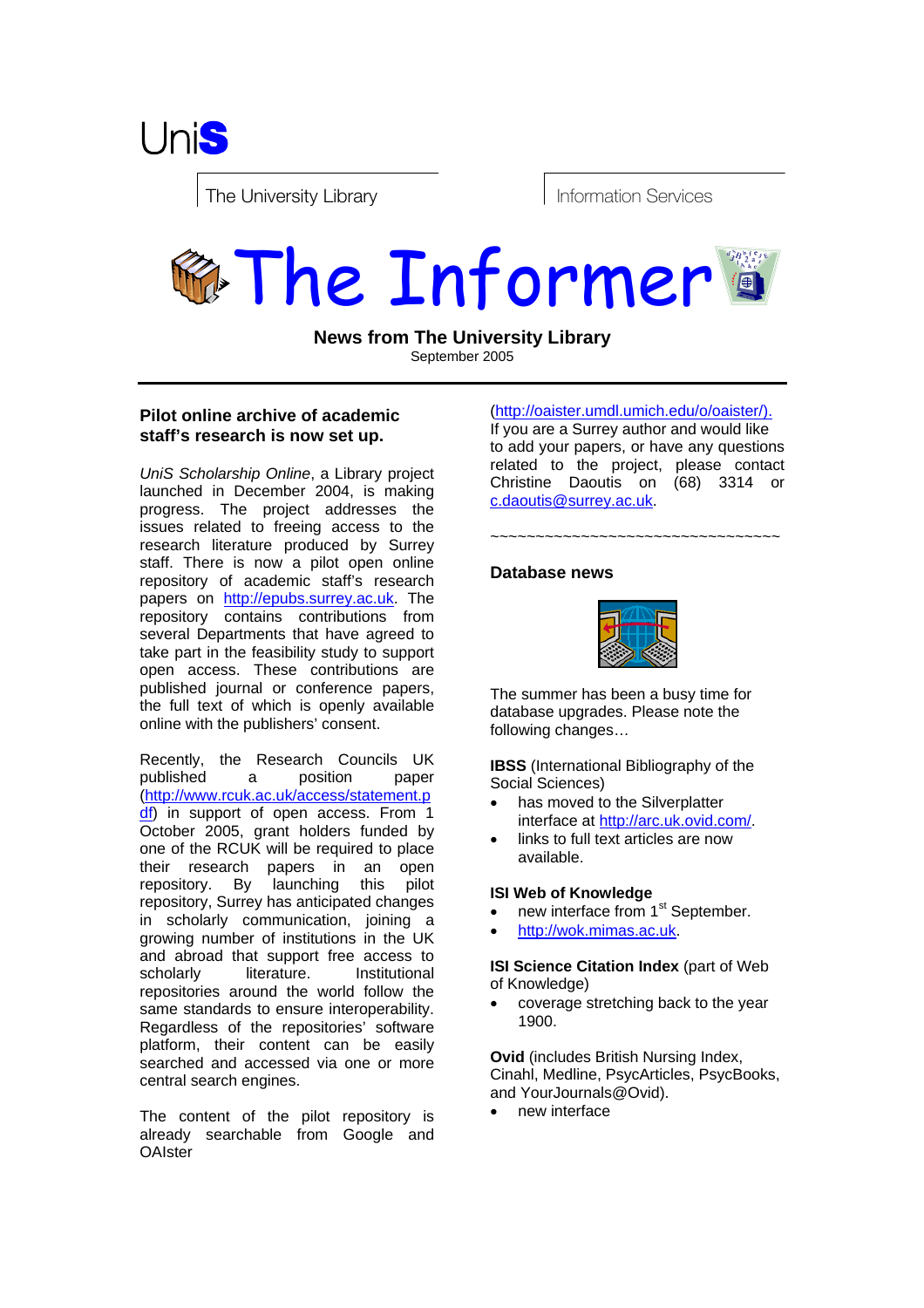

The University Library entitled to the University Library entitled to the Information Services

# The Informer

**News from The University Library** September 2005

# **Pilot online archive of academic staff's research is now set up.**

*UniS Scholarship Online*, a Library project launched in December 2004, is making progress. The project addresses the issues related to freeing access to the research literature produced by Surrey staff. There is now a pilot open online repository of academic staff's research papers on http://epubs.surrey.ac.uk. The repository contains contributions from several Departments that have agreed to take part in the feasibility study to support open access. These contributions are published journal or conference papers, the full text of which is openly available online with the publishers' consent.

Recently, the Research Councils UK published a position paper (http://www.rcuk.ac.uk/access/statement.p df) in support of open access. From 1 October 2005, grant holders funded by one of the RCUK will be required to place their research papers in an open repository. By launching this pilot repository, Surrey has anticipated changes in scholarly communication, joining a growing number of institutions in the UK and abroad that support free access to scholarly literature. Institutional repositories around the world follow the same standards to ensure interoperability. Regardless of the repositories' software platform, their content can be easily searched and accessed via one or more central search engines.

The content of the pilot repository is already searchable from Google and **OAIster** 

(http://oaister.umdl.umich.edu/o/oaister/).

If you are a Surrey author and would like to add your papers, or have any questions related to the project, please contact Christine Daoutis on (68) 3314 or c.daoutis@surrey.ac.uk.

~~~~~~~~~~~~~~~~~~~~~~~~~~~~~~~~

## **Database news**



The summer has been a busy time for database upgrades. Please note the following changes…

**IBSS** (International Bibliography of the Social Sciences)

- has moved to the Silverplatter interface at http://arc.uk.ovid.com/.
- links to full text articles are now available.

### **ISI Web of Knowledge**

- new interface from 1<sup>st</sup> September.
- http://wok.mimas.ac.uk.

**ISI Science Citation Index** (part of Web of Knowledge)

• coverage stretching back to the year 1900.

**Ovid** (includes British Nursing Index, Cinahl, Medline, PsycArticles, PsycBooks, and YourJournals@Ovid).

• new interface